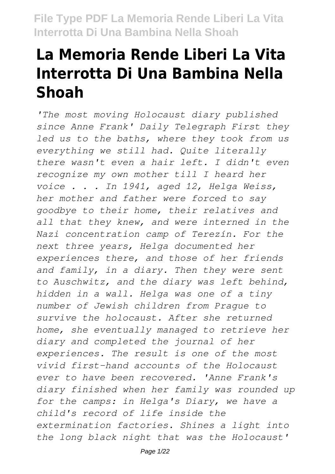# **La Memoria Rende Liberi La Vita Interrotta Di Una Bambina Nella Shoah**

*'The most moving Holocaust diary published since Anne Frank' Daily Telegraph First they led us to the baths, where they took from us everything we still had. Quite literally there wasn't even a hair left. I didn't even recognize my own mother till I heard her voice . . . In 1941, aged 12, Helga Weiss, her mother and father were forced to say goodbye to their home, their relatives and all that they knew, and were interned in the Nazi concentration camp of Terezín. For the next three years, Helga documented her experiences there, and those of her friends and family, in a diary. Then they were sent to Auschwitz, and the diary was left behind, hidden in a wall. Helga was one of a tiny number of Jewish children from Prague to survive the holocaust. After she returned home, she eventually managed to retrieve her diary and completed the journal of her experiences. The result is one of the most vivid first-hand accounts of the Holocaust ever to have been recovered. 'Anne Frank's diary finished when her family was rounded up for the camps: in Helga's Diary, we have a child's record of life inside the extermination factories. Shines a light into the long black night that was the Holocaust'*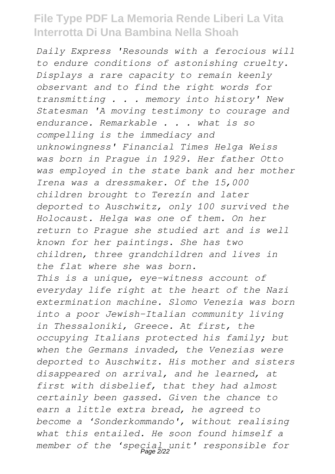*Daily Express 'Resounds with a ferocious will to endure conditions of astonishing cruelty. Displays a rare capacity to remain keenly observant and to find the right words for transmitting . . . memory into history' New Statesman 'A moving testimony to courage and endurance. Remarkable . . . what is so compelling is the immediacy and unknowingness' Financial Times Helga Weiss was born in Prague in 1929. Her father Otto was employed in the state bank and her mother Irena was a dressmaker. Of the 15,000 children brought to Terezín and later deported to Auschwitz, only 100 survived the Holocaust. Helga was one of them. On her return to Prague she studied art and is well known for her paintings. She has two children, three grandchildren and lives in the flat where she was born. This is a unique, eye-witness account of everyday life right at the heart of the Nazi extermination machine. Slomo Venezia was born into a poor Jewish-Italian community living in Thessaloniki, Greece. At first, the occupying Italians protected his family; but when the Germans invaded, the Venezias were deported to Auschwitz. His mother and sisters disappeared on arrival, and he learned, at first with disbelief, that they had almost certainly been gassed. Given the chance to earn a little extra bread, he agreed to become a 'Sonderkommando', without realising what this entailed. He soon found himself a member of the 'special unit' responsible for* Page 2/22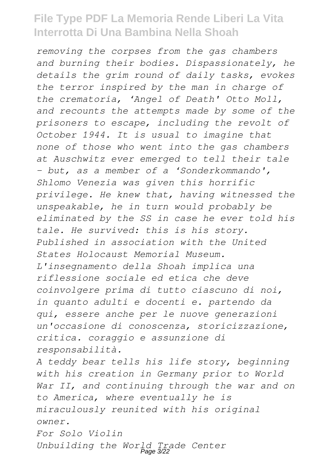*removing the corpses from the gas chambers and burning their bodies. Dispassionately, he details the grim round of daily tasks, evokes the terror inspired by the man in charge of the crematoria, 'Angel of Death' Otto Moll, and recounts the attempts made by some of the prisoners to escape, including the revolt of October 1944. It is usual to imagine that none of those who went into the gas chambers at Auschwitz ever emerged to tell their tale - but, as a member of a 'Sonderkommando', Shlomo Venezia was given this horrific privilege. He knew that, having witnessed the unspeakable, he in turn would probably be eliminated by the SS in case he ever told his tale. He survived: this is his story. Published in association with the United States Holocaust Memorial Museum. L'insegnamento della Shoah implica una riflessione sociale ed etica che deve coinvolgere prima di tutto ciascuno di noi, in quanto adulti e docenti e. partendo da qui, essere anche per le nuove generazioni un'occasione di conoscenza, storicizzazione, critica. coraggio e assunzione di responsabilità.*

*A teddy bear tells his life story, beginning with his creation in Germany prior to World War II, and continuing through the war and on to America, where eventually he is miraculously reunited with his original owner. For Solo Violin*

*Unbuilding the World Trade Center* Page 3/22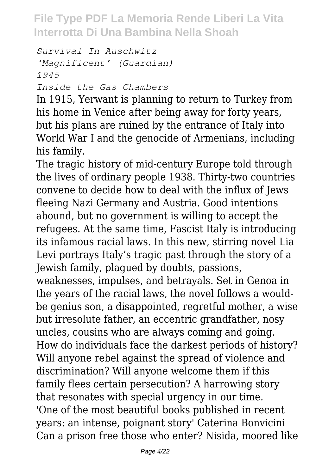*Survival In Auschwitz 'Magnificent' (Guardian) 1945 Inside the Gas Chambers*

In 1915, Yerwant is planning to return to Turkey from his home in Venice after being away for forty years, but his plans are ruined by the entrance of Italy into World War I and the genocide of Armenians, including his family.

The tragic history of mid-century Europe told through the lives of ordinary people 1938. Thirty-two countries convene to decide how to deal with the influx of Jews fleeing Nazi Germany and Austria. Good intentions abound, but no government is willing to accept the refugees. At the same time, Fascist Italy is introducing its infamous racial laws. In this new, stirring novel Lia Levi portrays Italy's tragic past through the story of a Jewish family, plagued by doubts, passions, weaknesses, impulses, and betrayals. Set in Genoa in the years of the racial laws, the novel follows a wouldbe genius son, a disappointed, regretful mother, a wise but irresolute father, an eccentric grandfather, nosy uncles, cousins who are always coming and going. How do individuals face the darkest periods of history? Will anyone rebel against the spread of violence and discrimination? Will anyone welcome them if this family flees certain persecution? A harrowing story that resonates with special urgency in our time. 'One of the most beautiful books published in recent years: an intense, poignant story' Caterina Bonvicini Can a prison free those who enter? Nisida, moored like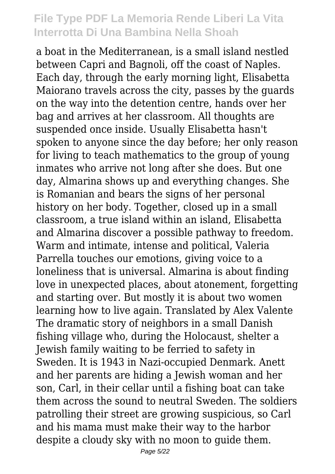a boat in the Mediterranean, is a small island nestled between Capri and Bagnoli, off the coast of Naples. Each day, through the early morning light, Elisabetta Maiorano travels across the city, passes by the guards on the way into the detention centre, hands over her bag and arrives at her classroom. All thoughts are suspended once inside. Usually Elisabetta hasn't spoken to anyone since the day before; her only reason for living to teach mathematics to the group of young inmates who arrive not long after she does. But one day, Almarina shows up and everything changes. She is Romanian and bears the signs of her personal history on her body. Together, closed up in a small classroom, a true island within an island, Elisabetta and Almarina discover a possible pathway to freedom. Warm and intimate, intense and political, Valeria Parrella touches our emotions, giving voice to a loneliness that is universal. Almarina is about finding love in unexpected places, about atonement, forgetting and starting over. But mostly it is about two women learning how to live again. Translated by Alex Valente The dramatic story of neighbors in a small Danish fishing village who, during the Holocaust, shelter a Jewish family waiting to be ferried to safety in Sweden. It is 1943 in Nazi-occupied Denmark. Anett and her parents are hiding a Jewish woman and her son, Carl, in their cellar until a fishing boat can take them across the sound to neutral Sweden. The soldiers patrolling their street are growing suspicious, so Carl and his mama must make their way to the harbor despite a cloudy sky with no moon to guide them.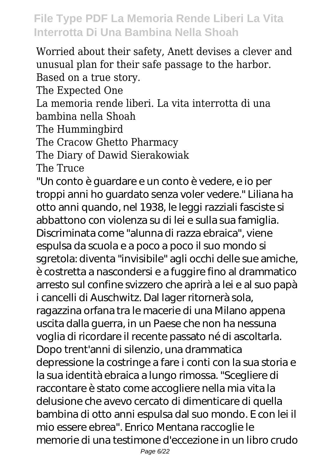Worried about their safety, Anett devises a clever and unusual plan for their safe passage to the harbor. Based on a true story. The Expected One La memoria rende liberi. La vita interrotta di una bambina nella Shoah The Hummingbird The Cracow Ghetto Pharmacy The Diary of Dawid Sierakowiak The Truce "Un conto è guardare e un conto è vedere, e io per troppi anni ho guardato senza voler vedere." Liliana ha otto anni quando, nel 1938, le leggi razziali fasciste si abbattono con violenza su di lei e sulla sua famiglia. Discriminata come "alunna di razza ebraica", viene espulsa da scuola e a poco a poco il suo mondo si sgretola: diventa "invisibile" agli occhi delle sue amiche, è costretta a nascondersi e a fuggire fino al drammatico arresto sul confine svizzero che aprirà a lei e al suo papà i cancelli di Auschwitz. Dal lager ritornerà sola, ragazzina orfana tra le macerie di una Milano appena uscita dalla guerra, in un Paese che non ha nessuna voglia di ricordare il recente passato né di ascoltarla. Dopo trent'anni di silenzio, una drammatica depressione la costringe a fare i conti con la sua storia e la sua identità ebraica a lungo rimossa. "Scegliere di raccontare è stato come accogliere nella mia vita la delusione che avevo cercato di dimenticare di quella bambina di otto anni espulsa dal suo mondo. E con lei il mio essere ebrea". Enrico Mentana raccoglie le memorie di una testimone d'eccezione in un libro crudo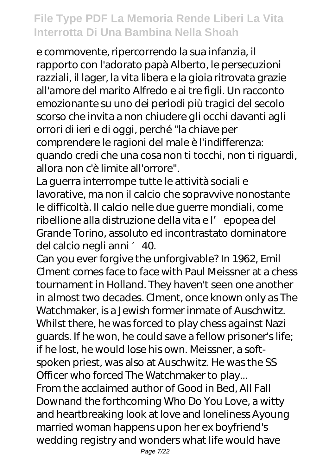e commovente, ripercorrendo la sua infanzia, il rapporto con l'adorato papà Alberto, le persecuzioni razziali, il lager, la vita libera e la gioia ritrovata grazie all'amore del marito Alfredo e ai tre figli. Un racconto emozionante su uno dei periodi più tragici del secolo scorso che invita a non chiudere gli occhi davanti agli orrori di ieri e di oggi, perché "la chiave per comprendere le ragioni del male è l'indifferenza: quando credi che una cosa non ti tocchi, non ti riguardi, allora non c'è limite all'orrore".

La guerra interrompe tutte le attività sociali e lavorative, ma non il calcio che sopravvive nonostante le difficoltà. Il calcio nelle due guerre mondiali, come ribellione alla distruzione della vita e l'epopea del Grande Torino, assoluto ed incontrastato dominatore del calcio negli anni '40.

Can you ever forgive the unforgivable? In 1962, Emil Clment comes face to face with Paul Meissner at a chess tournament in Holland. They haven't seen one another in almost two decades. Clment, once known only as The Watchmaker, is a Jewish former inmate of Auschwitz. Whilst there, he was forced to play chess against Nazi guards. If he won, he could save a fellow prisoner's life; if he lost, he would lose his own. Meissner, a softspoken priest, was also at Auschwitz. He was the SS Officer who forced The Watchmaker to play... From the acclaimed author of Good in Bed, All Fall Downand the forthcoming Who Do You Love, a witty and heartbreaking look at love and loneliness Ayoung married woman happens upon her ex boyfriend's wedding registry and wonders what life would have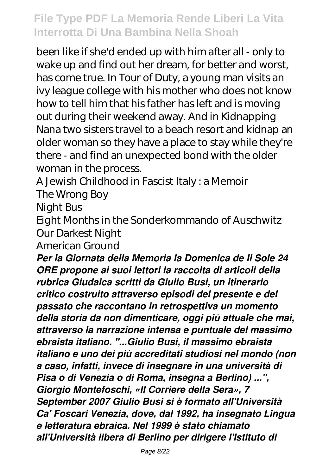been like if she'd ended up with him after all - only to wake up and find out her dream, for better and worst, has come true. In Tour of Duty, a young man visits an ivy league college with his mother who does not know how to tell him that his father has left and is moving out during their weekend away. And in Kidnapping Nana two sisters travel to a beach resort and kidnap an older woman so they have a place to stay while they're there - and find an unexpected bond with the older woman in the process.

A Jewish Childhood in Fascist Italy : a Memoir

The Wrong Boy

Night Bus

Eight Months in the Sonderkommando of Auschwitz Our Darkest Night

American Ground

*Per la Giornata della Memoria la Domenica de Il Sole 24 ORE propone ai suoi lettori la raccolta di articoli della rubrica Giudaica scritti da Giulio Busi, un itinerario critico costruito attraverso episodi del presente e del passato che raccontano in retrospettiva un momento della storia da non dimenticare, oggi più attuale che mai, attraverso la narrazione intensa e puntuale del massimo ebraista italiano. "...Giulio Busi, il massimo ebraista italiano e uno dei più accreditati studiosi nel mondo (non a caso, infatti, invece di insegnare in una università di Pisa o di Venezia o di Roma, insegna a Berlino) ...", Giorgio Montefoschi, «Il Corriere della Sera», 7 September 2007 Giulio Busi si è formato all'Università Ca' Foscari Venezia, dove, dal 1992, ha insegnato Lingua e letteratura ebraica. Nel 1999 è stato chiamato all'Università libera di Berlino per dirigere l'Istituto di*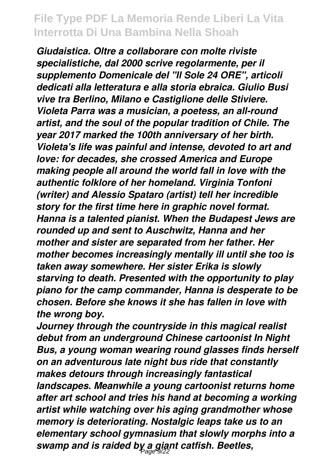*Giudaistica. Oltre a collaborare con molte riviste specialistiche, dal 2000 scrive regolarmente, per il supplemento Domenicale del "Il Sole 24 ORE", articoli dedicati alla letteratura e alla storia ebraica. Giulio Busi vive tra Berlino, Milano e Castiglione delle Stiviere. Violeta Parra was a musician, a poetess, an all-round artist, and the soul of the popular tradition of Chile. The year 2017 marked the 100th anniversary of her birth. Violeta's life was painful and intense, devoted to art and love: for decades, she crossed America and Europe making people all around the world fall in love with the authentic folklore of her homeland. Virginia Tonfoni (writer) and Alessio Spataro (artist) tell her incredible story for the first time here in graphic novel format. Hanna is a talented pianist. When the Budapest Jews are rounded up and sent to Auschwitz, Hanna and her mother and sister are separated from her father. Her mother becomes increasingly mentally ill until she too is taken away somewhere. Her sister Erika is slowly starving to death. Presented with the opportunity to play piano for the camp commander, Hanna is desperate to be chosen. Before she knows it she has fallen in love with the wrong boy.*

*Journey through the countryside in this magical realist debut from an underground Chinese cartoonist In Night Bus, a young woman wearing round glasses finds herself on an adventurous late night bus ride that constantly makes detours through increasingly fantastical landscapes. Meanwhile a young cartoonist returns home after art school and tries his hand at becoming a working artist while watching over his aging grandmother whose memory is deteriorating. Nostalgic leaps take us to an elementary school gymnasium that slowly morphs into a swamp and is raided by a giant catfish. Beetles,* Page 9/22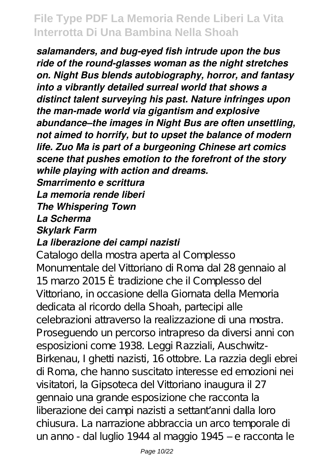*salamanders, and bug-eyed fish intrude upon the bus ride of the round-glasses woman as the night stretches on. Night Bus blends autobiography, horror, and fantasy into a vibrantly detailed surreal world that shows a distinct talent surveying his past. Nature infringes upon the man-made world via gigantism and explosive abundance–the images in Night Bus are often unsettling, not aimed to horrify, but to upset the balance of modern life. Zuo Ma is part of a burgeoning Chinese art comics scene that pushes emotion to the forefront of the story while playing with action and dreams. Smarrimento e scrittura*

#### *La memoria rende liberi The Whispering Town La Scherma Skylark Farm La liberazione dei campi nazisti*

Catalogo della mostra aperta al Complesso Monumentale del Vittoriano di Roma dal 28 gennaio al 15 marzo 2015 È tradizione che il Complesso del Vittoriano, in occasione della Giornata della Memoria dedicata al ricordo della Shoah, partecipi alle celebrazioni attraverso la realizzazione di una mostra. Proseguendo un percorso intrapreso da diversi anni con esposizioni come 1938. Leggi Razziali, Auschwitz-Birkenau, I ghetti nazisti, 16 ottobre. La razzia degli ebrei di Roma, che hanno suscitato interesse ed emozioni nei visitatori, la Gipsoteca del Vittoriano inaugura il 27 gennaio una grande esposizione che racconta la liberazione dei campi nazisti a settant'anni dalla loro chiusura. La narrazione abbraccia un arco temporale di un anno - dal luglio 1944 al maggio 1945 – e racconta le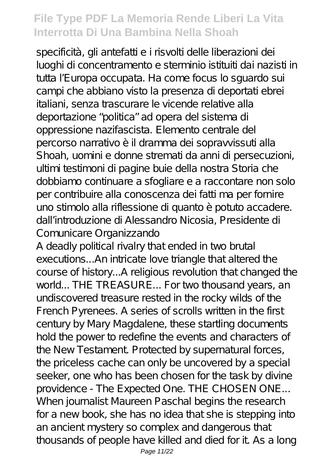specificità, gli antefatti e i risvolti delle liberazioni dei luoghi di concentramento e sterminio istituiti dai nazisti in tutta l'Europa occupata. Ha come focus lo sguardo sui campi che abbiano visto la presenza di deportati ebrei italiani, senza trascurare le vicende relative alla deportazione "politica" ad opera del sistema di oppressione nazifascista. Elemento centrale del percorso narrativo è il dramma dei sopravvissuti alla Shoah, uomini e donne stremati da anni di persecuzioni, ultimi testimoni di pagine buie della nostra Storia che dobbiamo continuare a sfogliare e a raccontare non solo per contribuire alla conoscenza dei fatti ma per fornire uno stimolo alla riflessione di quanto è potuto accadere. dall'introduzione di Alessandro Nicosia, Presidente di Comunicare Organizzando

A deadly political rivalry that ended in two brutal executions...An intricate love triangle that altered the course of history...A religious revolution that changed the world... THE TREASURE... For two thousand years, an undiscovered treasure rested in the rocky wilds of the French Pyrenees. A series of scrolls written in the first century by Mary Magdalene, these startling documents hold the power to redefine the events and characters of the New Testament. Protected by supernatural forces, the priceless cache can only be uncovered by a special seeker, one who has been chosen for the task by divine providence - The Expected One. THE CHOSEN ONE... When journalist Maureen Paschal begins the research for a new book, she has no idea that she is stepping into an ancient mystery so complex and dangerous that thousands of people have killed and died for it. As a long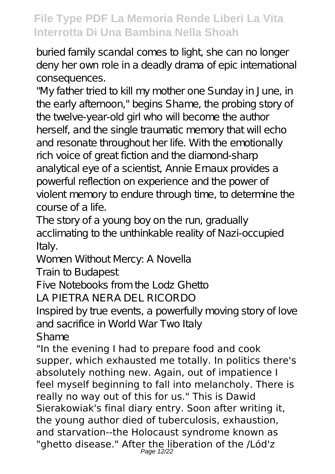buried family scandal comes to light, she can no longer deny her own role in a deadly drama of epic international consequences.

"My father tried to kill my mother one Sunday in June, in the early afternoon," begins Shame, the probing story of the twelve-year-old girl who will become the author herself, and the single traumatic memory that will echo and resonate throughout her life. With the emotionally rich voice of great fiction and the diamond-sharp analytical eye of a scientist, Annie Ernaux provides a powerful reflection on experience and the power of violent memory to endure through time, to determine the course of a life.

The story of a young boy on the run, gradually acclimating to the unthinkable reality of Nazi-occupied Italy.

Women Without Mercy: A Novella

Train to Budapest

Five Notebooks from the Lodz Ghetto

LA PIETRA NERA DEL RICORDO

Inspired by true events, a powerfully moving story of love and sacrifice in World War Two Italy Shame

"In the evening I had to prepare food and cook supper, which exhausted me totally. In politics there's absolutely nothing new. Again, out of impatience I feel myself beginning to fall into melancholy. There is really no way out of this for us." This is Dawid Sierakowiak's final diary entry. Soon after writing it, the young author died of tuberculosis, exhaustion, and starvation--the Holocaust syndrome known as "ghetto disease." After the liberation of the /Lód'z Page 12/22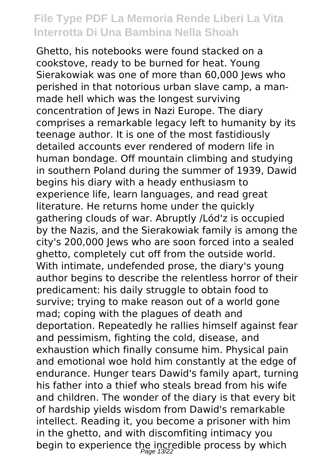Ghetto, his notebooks were found stacked on a cookstove, ready to be burned for heat. Young Sierakowiak was one of more than 60,000 Jews who perished in that notorious urban slave camp, a manmade hell which was the longest surviving concentration of Jews in Nazi Europe. The diary comprises a remarkable legacy left to humanity by its teenage author. It is one of the most fastidiously detailed accounts ever rendered of modern life in human bondage. Off mountain climbing and studying in southern Poland during the summer of 1939, Dawid begins his diary with a heady enthusiasm to experience life, learn languages, and read great literature. He returns home under the quickly gathering clouds of war. Abruptly /Lód'z is occupied by the Nazis, and the Sierakowiak family is among the city's 200,000 Jews who are soon forced into a sealed ghetto, completely cut off from the outside world. With intimate, undefended prose, the diary's young author begins to describe the relentless horror of their predicament: his daily struggle to obtain food to survive; trying to make reason out of a world gone mad; coping with the plagues of death and deportation. Repeatedly he rallies himself against fear and pessimism, fighting the cold, disease, and exhaustion which finally consume him. Physical pain and emotional woe hold him constantly at the edge of endurance. Hunger tears Dawid's family apart, turning his father into a thief who steals bread from his wife and children. The wonder of the diary is that every bit of hardship yields wisdom from Dawid's remarkable intellect. Reading it, you become a prisoner with him in the ghetto, and with discomfiting intimacy you begin to experience the incredible process by which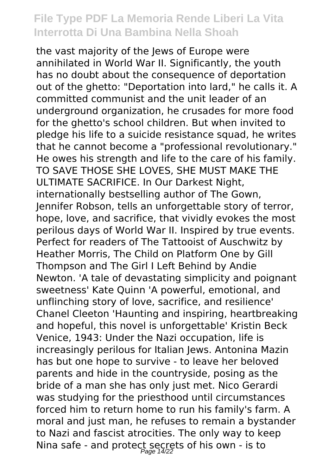the vast majority of the Jews of Europe were annihilated in World War II. Significantly, the youth has no doubt about the consequence of deportation out of the ghetto: "Deportation into lard," he calls it. A committed communist and the unit leader of an underground organization, he crusades for more food for the ghetto's school children. But when invited to pledge his life to a suicide resistance squad, he writes that he cannot become a "professional revolutionary." He owes his strength and life to the care of his family. TO SAVE THOSE SHE LOVES, SHE MUST MAKE THE ULTIMATE SACRIFICE. In Our Darkest Night, internationally bestselling author of The Gown, Jennifer Robson, tells an unforgettable story of terror, hope, love, and sacrifice, that vividly evokes the most perilous days of World War II. Inspired by true events. Perfect for readers of The Tattooist of Auschwitz by Heather Morris, The Child on Platform One by Gill Thompson and The Girl I Left Behind by Andie Newton. 'A tale of devastating simplicity and poignant sweetness' Kate Quinn 'A powerful, emotional, and unflinching story of love, sacrifice, and resilience' Chanel Cleeton 'Haunting and inspiring, heartbreaking and hopeful, this novel is unforgettable' Kristin Beck Venice, 1943: Under the Nazi occupation, life is increasingly perilous for Italian Jews. Antonina Mazin has but one hope to survive - to leave her beloved parents and hide in the countryside, posing as the bride of a man she has only just met. Nico Gerardi was studying for the priesthood until circumstances forced him to return home to run his family's farm. A moral and just man, he refuses to remain a bystander to Nazi and fascist atrocities. The only way to keep Nina safe - and protect secrets of his own - is to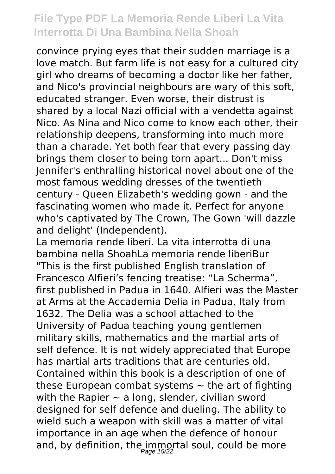convince prying eyes that their sudden marriage is a love match. But farm life is not easy for a cultured city girl who dreams of becoming a doctor like her father, and Nico's provincial neighbours are wary of this soft, educated stranger. Even worse, their distrust is shared by a local Nazi official with a vendetta against Nico. As Nina and Nico come to know each other, their relationship deepens, transforming into much more than a charade. Yet both fear that every passing day brings them closer to being torn apart... Don't miss Jennifer's enthralling historical novel about one of the most famous wedding dresses of the twentieth century - Queen Elizabeth's wedding gown - and the fascinating women who made it. Perfect for anyone who's captivated by The Crown, The Gown 'will dazzle and delight' (Independent).

La memoria rende liberi. La vita interrotta di una bambina nella ShoahLa memoria rende liberiBur "This is the first published English translation of Francesco Alfieri's fencing treatise: "La Scherma", first published in Padua in 1640. Alfieri was the Master at Arms at the Accademia Delia in Padua, Italy from 1632. The Delia was a school attached to the University of Padua teaching young gentlemen military skills, mathematics and the martial arts of self defence. It is not widely appreciated that Europe has martial arts traditions that are centuries old. Contained within this book is a description of one of these European combat systems  $\sim$  the art of fighting with the Rapier  $\sim$  a long, slender, civilian sword designed for self defence and dueling. The ability to wield such a weapon with skill was a matter of vital importance in an age when the defence of honour and, by definition, the immortal soul, could be more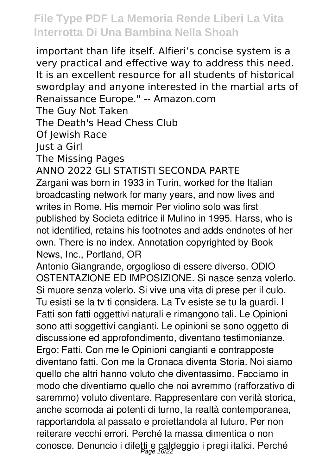important than life itself. Alfieri's concise system is a very practical and effective way to address this need. It is an excellent resource for all students of historical swordplay and anyone interested in the martial arts of Renaissance Europe." -- Amazon.com

The Guy Not Taken

The Death's Head Chess Club

Of Jewish Race

Just a Girl

The Missing Pages

ANNO 2022 GLI STATISTI SECONDA PARTE

Zargani was born in 1933 in Turin, worked for the Italian broadcasting network for many years, and now lives and writes in Rome. His memoir Per violino solo was first published by Societa editrice il Mulino in 1995. Harss, who is not identified, retains his footnotes and adds endnotes of her own. There is no index. Annotation copyrighted by Book News, Inc., Portland, OR

Antonio Giangrande, orgoglioso di essere diverso. ODIO OSTENTAZIONE ED IMPOSIZIONE. Si nasce senza volerlo. Si muore senza volerlo. Si vive una vita di prese per il culo. Tu esisti se la tv ti considera. La Tv esiste se tu la guardi. I Fatti son fatti oggettivi naturali e rimangono tali. Le Opinioni sono atti soggettivi cangianti. Le opinioni se sono oggetto di discussione ed approfondimento, diventano testimonianze. Ergo: Fatti. Con me le Opinioni cangianti e contrapposte diventano fatti. Con me la Cronaca diventa Storia. Noi siamo quello che altri hanno voluto che diventassimo. Facciamo in modo che diventiamo quello che noi avremmo (rafforzativo di saremmo) voluto diventare. Rappresentare con verità storica, anche scomoda ai potenti di turno, la realtà contemporanea, rapportandola al passato e proiettandola al futuro. Per non reiterare vecchi errori. Perché la massa dimentica o non conosce. Denuncio i difetti e caldeggio i pregi italici. Perché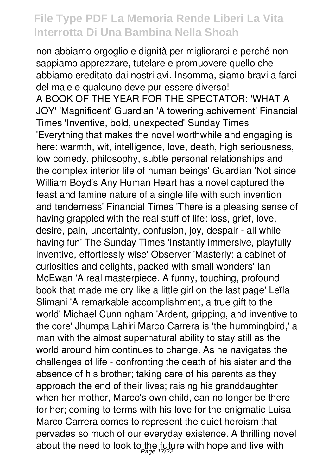non abbiamo orgoglio e dignità per migliorarci e perché non sappiamo apprezzare, tutelare e promuovere quello che abbiamo ereditato dai nostri avi. Insomma, siamo bravi a farci del male e qualcuno deve pur essere diverso! A BOOK OF THE YEAR FOR THE SPECTATOR: 'WHAT A JOY' 'Magnificent' Guardian 'A towering achivement' Financial Times 'Inventive, bold, unexpected' Sunday Times 'Everything that makes the novel worthwhile and engaging is here: warmth, wit, intelligence, love, death, high seriousness, low comedy, philosophy, subtle personal relationships and the complex interior life of human beings' Guardian 'Not since William Boyd's Any Human Heart has a novel captured the feast and famine nature of a single life with such invention and tenderness' Financial Times 'There is a pleasing sense of having grappled with the real stuff of life: loss, grief, love, desire, pain, uncertainty, confusion, joy, despair - all while having fun' The Sunday Times 'Instantly immersive, playfully inventive, effortlessly wise' Observer 'Masterly: a cabinet of curiosities and delights, packed with small wonders' Ian McEwan 'A real masterpiece. A funny, touching, profound book that made me cry like a little girl on the last page' Leïla Slimani 'A remarkable accomplishment, a true gift to the world' Michael Cunningham 'Ardent, gripping, and inventive to the core' Jhumpa Lahiri Marco Carrera is 'the hummingbird,' a man with the almost supernatural ability to stay still as the world around him continues to change. As he navigates the challenges of life - confronting the death of his sister and the absence of his brother; taking care of his parents as they approach the end of their lives; raising his granddaughter when her mother, Marco's own child, can no longer be there for her; coming to terms with his love for the enigmatic Luisa - Marco Carrera comes to represent the quiet heroism that pervades so much of our everyday existence. A thrilling novel about the need to look to the future with hope and live with  $\rho_{\textit{age 17/22}}$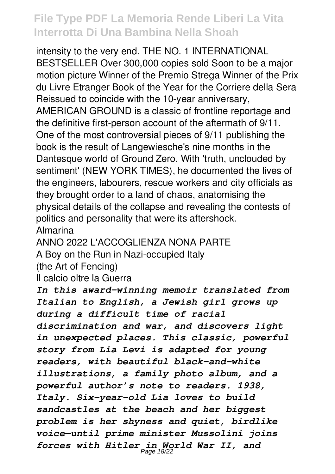intensity to the very end. THE NO. 1 INTERNATIONAL BESTSELLER Over 300,000 copies sold Soon to be a major motion picture Winner of the Premio Strega Winner of the Prix du Livre Etranger Book of the Year for the Corriere della Sera Reissued to coincide with the 10-year anniversary, AMERICAN GROUND is a classic of frontline reportage and the definitive first-person account of the aftermath of 9/11. One of the most controversial pieces of 9/11 publishing the book is the result of Langewiesche's nine months in the Dantesque world of Ground Zero. With 'truth, unclouded by sentiment' (NEW YORK TIMES), he documented the lives of the engineers, labourers, rescue workers and city officials as they brought order to a land of chaos, anatomising the physical details of the collapse and revealing the contests of politics and personality that were its aftershock. Almarina

ANNO 2022 L'ACCOGLIENZA NONA PARTE A Boy on the Run in Nazi-occupied Italy (the Art of Fencing)

Il calcio oltre la Guerra

*In this award-winning memoir translated from Italian to English, a Jewish girl grows up during a difficult time of racial discrimination and war, and discovers light in unexpected places. This classic, powerful story from Lia Levi is adapted for young readers, with beautiful black-and-white illustrations, a family photo album, and a powerful author's note to readers. 1938, Italy. Six-year-old Lia loves to build sandcastles at the beach and her biggest problem is her shyness and quiet, birdlike voice—until prime minister Mussolini joins forces with Hitler in World War II, and* Page 18/22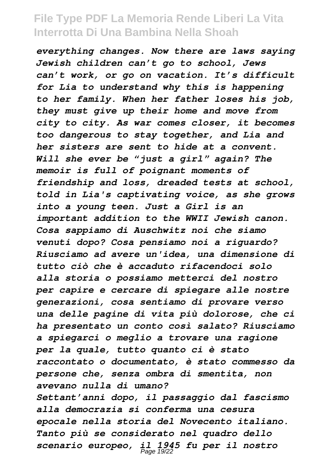*everything changes. Now there are laws saying Jewish children can't go to school, Jews can't work, or go on vacation. It's difficult for Lia to understand why this is happening to her family. When her father loses his job, they must give up their home and move from city to city. As war comes closer, it becomes too dangerous to stay together, and Lia and her sisters are sent to hide at a convent. Will she ever be "just a girl" again? The memoir is full of poignant moments of friendship and loss, dreaded tests at school, told in Lia's captivating voice, as she grows into a young teen. Just a Girl is an important addition to the WWII Jewish canon. Cosa sappiamo di Auschwitz noi che siamo venuti dopo? Cosa pensiamo noi a riguardo? Riusciamo ad avere un'idea, una dimensione di tutto ciò che è accaduto rifacendoci solo alla storia o possiamo metterci del nostro per capire e cercare di spiegare alle nostre generazioni, cosa sentiamo di provare verso una delle pagine di vita più dolorose, che ci ha presentato un conto così salato? Riusciamo a spiegarci o meglio a trovare una ragione per la quale, tutto quanto ci è stato raccontato o documentato, è stato commesso da persone che, senza ombra di smentita, non avevano nulla di umano? Settant'anni dopo, il passaggio dal fascismo alla democrazia si conferma una cesura epocale nella storia del Novecento italiano. Tanto più se considerato nel quadro dello scenario europeo, il 1945 fu per il nostro* Page 19/22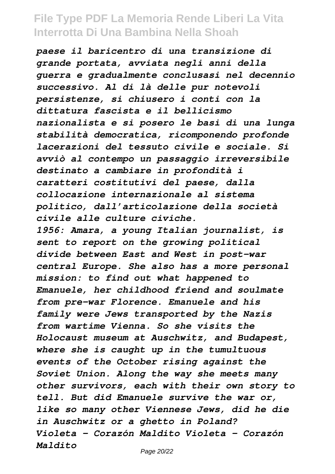*paese il baricentro di una transizione di grande portata, avviata negli anni della guerra e gradualmente conclusasi nel decennio successivo. Al di là delle pur notevoli persistenze, si chiusero i conti con la dittatura fascista e il bellicismo nazionalista e si posero le basi di una lunga stabilità democratica, ricomponendo profonde lacerazioni del tessuto civile e sociale. Si avviò al contempo un passaggio irreversibile destinato a cambiare in profondità i caratteri costitutivi del paese, dalla collocazione internazionale al sistema politico, dall'articolazione della società civile alle culture civiche. 1956: Amara, a young Italian journalist, is sent to report on the growing political divide between East and West in post-war central Europe. She also has a more personal mission: to find out what happened to Emanuele, her childhood friend and soulmate from pre-war Florence. Emanuele and his family were Jews transported by the Nazis from wartime Vienna. So she visits the Holocaust museum at Auschwitz, and Budapest, where she is caught up in the tumultuous events of the October rising against the Soviet Union. Along the way she meets many other survivors, each with their own story to tell. But did Emanuele survive the war or, like so many other Viennese Jews, did he die in Auschwitz or a ghetto in Poland? Violeta - Corazón Maldito Violeta - Corazón Maldito*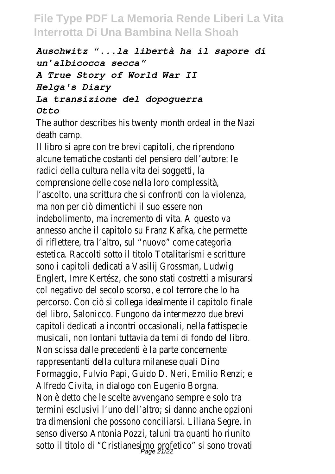*Auschwitz "...la libertà ha il sapore di un'albicocca secca" A True Story of World War II Helga's Diary La transizione del dopoguerra Otto*

The author describes his twenty month ordeal in the Nazi death camp.

Il libro si apre con tre brevi capitoli, che riprendono alcune tematiche costanti del pensiero dell'autore: le radici della cultura nella vita dei soggetti, la comprensione delle cose nella loro complessità, l'ascolto, una scrittura che si confronti con la violenza, ma non per ciò dimentichi il suo essere non indebolimento, ma incremento di vita. A questo va annesso anche il capitolo su Franz Kafka, che permette di riflettere, tra l'altro, sul "nuovo" come categoria estetica. Raccolti sotto il titolo Totalitarismi e scritture sono i capitoli dedicati a Vasilij Grossman, Ludwig Englert, Imre Kertész, che sono stati costretti a misurarsi col negativo del secolo scorso, e col terrore che lo ha percorso. Con ciò si collega idealmente il capitolo finale del libro, Salonicco. Fungono da intermezzo due brevi capitoli dedicati a incontri occasionali, nella fattispecie musicali, non lontani tuttavia da temi di fondo del libro. Non scissa dalle precedenti è la parte concernente rappresentanti della cultura milanese quali Dino Formaggio, Fulvio Papi, Guido D. Neri, Emilio Renzi; e Alfredo Civita, in dialogo con Eugenio Borgna. Non è detto che le scelte avvengano sempre e solo tra termini esclusivi l'uno dell'altro; si danno anche opzioni tra dimensioni che possono conciliarsi. Liliana Segre, in senso diverso Antonia Pozzi, taluni tra quanti ho riunito sotto il titolo di "Cristianesimo profetico" si sono trovati Page 21/22